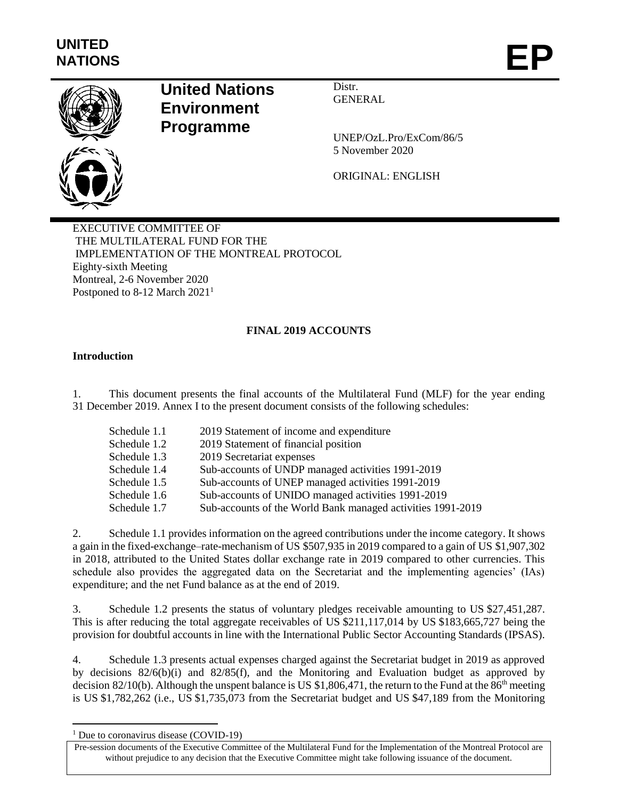

## **United Nations Environment Programme**

Distr. GENERAL

UNEP/OzL.Pro/ExCom/86/5 5 November 2020

ORIGINAL: ENGLISH

EXECUTIVE COMMITTEE OF THE MULTILATERAL FUND FOR THE IMPLEMENTATION OF THE MONTREAL PROTOCOL Eighty-sixth Meeting Montreal, 2-6 November 2020 Postponed to 8-12 March 2021<sup>1</sup>

## **FINAL 2019 ACCOUNTS**

#### **Introduction**

1. This document presents the final accounts of the Multilateral Fund (MLF) for the year ending 31 December 2019. Annex I to the present document consists of the following schedules:

| Schedule 1.1 | 2019 Statement of income and expenditure                    |
|--------------|-------------------------------------------------------------|
| Schedule 1.2 | 2019 Statement of financial position                        |
| Schedule 1.3 | 2019 Secretariat expenses                                   |
| Schedule 1.4 | Sub-accounts of UNDP managed activities 1991-2019           |
| Schedule 1.5 | Sub-accounts of UNEP managed activities 1991-2019           |
| Schedule 1.6 | Sub-accounts of UNIDO managed activities 1991-2019          |
| Schedule 1.7 | Sub-accounts of the World Bank managed activities 1991-2019 |
|              |                                                             |

2. Schedule 1.1 provides information on the agreed contributions under the income category. It shows a gain in the fixed-exchange–rate-mechanism of US \$507,935 in 2019 compared to a gain of US \$1,907,302 in 2018, attributed to the United States dollar exchange rate in 2019 compared to other currencies. This schedule also provides the aggregated data on the Secretariat and the implementing agencies' (IAs) expenditure; and the net Fund balance as at the end of 2019.

3. Schedule 1.2 presents the status of voluntary pledges receivable amounting to US \$27,451,287. This is after reducing the total aggregate receivables of US \$211,117,014 by US \$183,665,727 being the provision for doubtful accounts in line with the International Public Sector Accounting Standards (IPSAS).

4. Schedule 1.3 presents actual expenses charged against the Secretariat budget in 2019 as approved by decisions  $82/6(b)(i)$  and  $82/85(f)$ , and the Monitoring and Evaluation budget as approved by decision 82/10(b). Although the unspent balance is US \$1,806,471, the return to the Fund at the 86<sup>th</sup> meeting is US \$1,782,262 (i.e., US \$1,735,073 from the Secretariat budget and US \$47,189 from the Monitoring

 $\overline{a}$ 

 $1$  Due to coronavirus disease (COVID-19)

Pre-session documents of the Executive Committee of the Multilateral Fund for the Implementation of the Montreal Protocol are without prejudice to any decision that the Executive Committee might take following issuance of the document.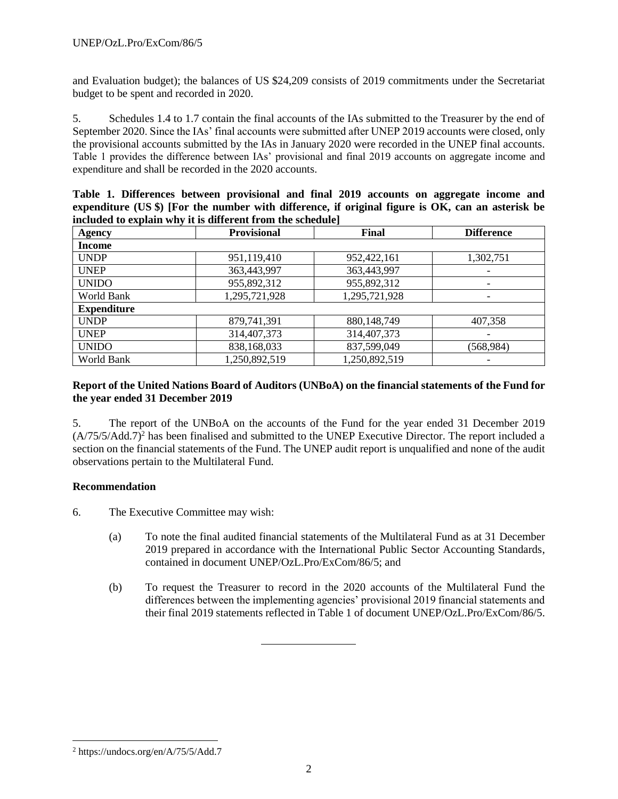and Evaluation budget); the balances of US \$24,209 consists of 2019 commitments under the Secretariat budget to be spent and recorded in 2020.

5. Schedules 1.4 to 1.7 contain the final accounts of the IAs submitted to the Treasurer by the end of September 2020. Since the IAs' final accounts were submitted after UNEP 2019 accounts were closed, only the provisional accounts submitted by the IAs in January 2020 were recorded in the UNEP final accounts. Table 1 provides the difference between IAs' provisional and final 2019 accounts on aggregate income and expenditure and shall be recorded in the 2020 accounts.

|  | Table 1. Differences between provisional and final 2019 accounts on aggregate income and            |  |  |  |  |  |
|--|-----------------------------------------------------------------------------------------------------|--|--|--|--|--|
|  | expenditure $(US \$ ) [For the number with difference, if original figure is OK, can an asterisk be |  |  |  |  |  |
|  | included to explain why it is different from the schedule                                           |  |  |  |  |  |

| <b>Agency</b>      | <b>Provisional</b> | Final         | <b>Difference</b>        |
|--------------------|--------------------|---------------|--------------------------|
| <b>Income</b>      |                    |               |                          |
| <b>UNDP</b>        | 951,119,410        | 952,422,161   | 1,302,751                |
| <b>UNEP</b>        | 363,443,997        | 363,443,997   |                          |
| <b>UNIDO</b>       | 955,892,312        | 955,892,312   | -                        |
| World Bank         | 1,295,721,928      | 1,295,721,928 | $\overline{\phantom{a}}$ |
| <b>Expenditure</b> |                    |               |                          |
| <b>UNDP</b>        | 879,741,391        | 880,148,749   | 407,358                  |
| <b>UNEP</b>        | 314,407,373        | 314,407,373   |                          |
| <b>UNIDO</b>       | 838,168,033        | 837,599,049   | (568, 984)               |
| World Bank         | 1,250,892,519      | 1,250,892,519 |                          |

#### **Report of the United Nations Board of Auditors (UNBoA) on the financial statements of the Fund for the year ended 31 December 2019**

5. The report of the UNBoA on the accounts of the Fund for the year ended 31 December 2019  $(A/75/5)/A\text{dd}$ .7<sup>2</sup> has been finalised and submitted to the UNEP Executive Director. The report included a section on the financial statements of the Fund. The UNEP audit report is unqualified and none of the audit observations pertain to the Multilateral Fund.

#### **Recommendation**

6. The Executive Committee may wish:

- (a) To note the final audited financial statements of the Multilateral Fund as at 31 December 2019 prepared in accordance with the International Public Sector Accounting Standards, contained in document UNEP/OzL.Pro/ExCom/86/5; and
- (b) To request the Treasurer to record in the 2020 accounts of the Multilateral Fund the differences between the implementing agencies' provisional 2019 financial statements and their final 2019 statements reflected in Table 1 of document UNEP/OzL.Pro/ExCom/86/5.

l

<sup>2</sup> https://undocs.org/en/A/75/5/Add.7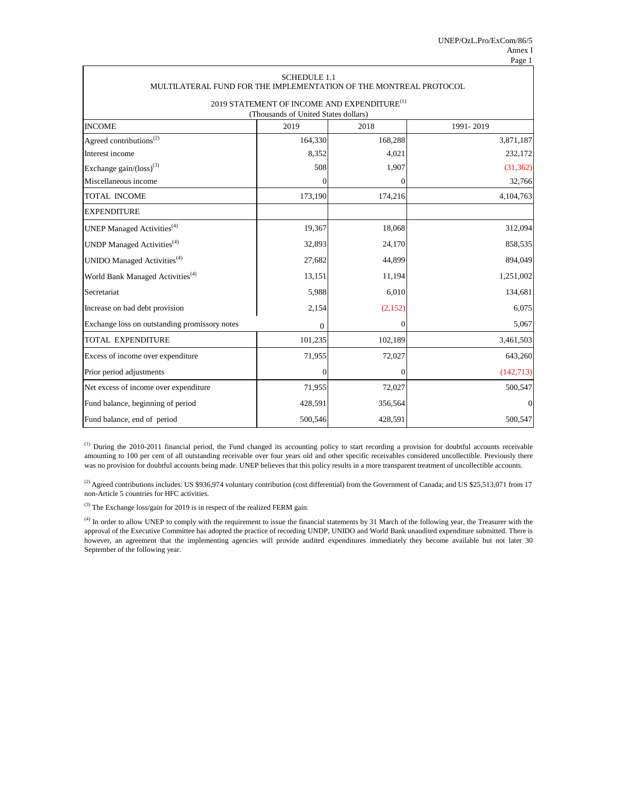| MULTILATERAL FUND FOR THE IMPLEMENTATION OF THE MONTREAL PROTOCOL | <b>SCHEDULE 1.1</b> |                  |              |  |  |  |  |  |  |
|-------------------------------------------------------------------|---------------------|------------------|--------------|--|--|--|--|--|--|
| 2019 STATEMENT OF INCOME AND EXPENDITURE <sup>(1)</sup>           |                     |                  |              |  |  |  |  |  |  |
| (Thousands of United States dollars)                              |                     |                  |              |  |  |  |  |  |  |
| <b>INCOME</b><br>1991-2019<br>2019<br>2018                        |                     |                  |              |  |  |  |  |  |  |
| Agreed contributions <sup>(2)</sup>                               | 164,330             | 168,288          | 3,871,187    |  |  |  |  |  |  |
| Interest income                                                   | 8,352               | 4,021            | 232,172      |  |  |  |  |  |  |
| Exchange $gain/(loss)^{(3)}$                                      | 508                 | 1,907            | (31, 362)    |  |  |  |  |  |  |
| Miscellaneous income                                              | $\boldsymbol{0}$    |                  | 32,766       |  |  |  |  |  |  |
| <b>TOTAL INCOME</b>                                               | 173,190             | 174,216          | 4,104,763    |  |  |  |  |  |  |
| <b>EXPENDITURE</b>                                                |                     |                  |              |  |  |  |  |  |  |
| UNEP Managed Activities <sup>(4)</sup>                            | 19,367              | 18,068           | 312,094      |  |  |  |  |  |  |
| UNDP Managed Activities <sup>(4)</sup>                            | 32,893              | 24,170           | 858,535      |  |  |  |  |  |  |
| UNIDO Managed Activities <sup>(4)</sup>                           | 27,682              | 44,899           | 894,049      |  |  |  |  |  |  |
| World Bank Managed Activities <sup>(4)</sup>                      | 13,151              | 11,194           | 1,251,002    |  |  |  |  |  |  |
| Secretariat                                                       | 5,988               | 6,010            | 134,681      |  |  |  |  |  |  |
| Increase on bad debt provision                                    | 2,154               | (2,152)          | 6,075        |  |  |  |  |  |  |
| Exchange loss on outstanding promissory notes                     | $\theta$            | $\overline{0}$   | 5,067        |  |  |  |  |  |  |
| <b>TOTAL EXPENDITURE</b>                                          | 101,235             | 102,189          | 3,461,503    |  |  |  |  |  |  |
| Excess of income over expenditure                                 | 71,955              | 72,027           | 643,260      |  |  |  |  |  |  |
| Prior period adjustments                                          | $\boldsymbol{0}$    | $\boldsymbol{0}$ | (142,713)    |  |  |  |  |  |  |
| Net excess of income over expenditure                             | 71,955              | 72,027           | 500,547      |  |  |  |  |  |  |
| Fund balance, beginning of period                                 | 428,591             | 356,564          | $\mathbf{0}$ |  |  |  |  |  |  |
| Fund balance, end of period                                       | 500,546             | 428,591          | 500,547      |  |  |  |  |  |  |

<sup>(4)</sup> In order to allow UNEP to comply with the requirement to issue the financial statements by 31 March of the following year, the Treasurer with the approval of the Executive Committee has adopted the practice of recording UNDP, UNIDO and World Bank unaudited expenditure submitted. There is however, an agreement that the implementing agencies will provide audited expenditures immediately they become available but not later 30 September of the following year.

(3) The Exchange loss/gain for 2019 is in respect of the realized FERM gain.

<sup>(2)</sup> Agreed contributions includes: US \$936,974 voluntary contribution (cost differential) from the Government of Canada; and US \$25,513,071 from 17 non-Article 5 countries for HFC activities.

(1) During the 2010-2011 financial period, the Fund changed its accounting policy to start recording a provision for doubtful accounts receivable amounting to 100 per cent of all outstanding receivable over four years old and other specific receivables considered uncollectible. Previously there was no provision for doubtful accounts being made. UNEP believes that this policy results in a more transparent treatment of uncollectible accounts.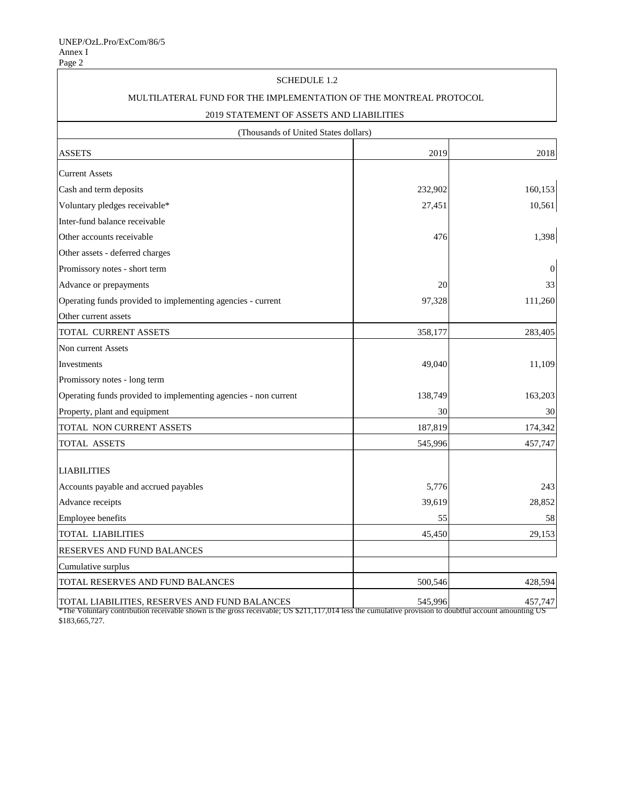## SCHEDULE 1.2

## MULTILATERAL FUND FOR THE IMPLEMENTATION OF THE MONTREAL PROTOCOL

## 2019 STATEMENT OF ASSETS AND LIABILITIES

(Thousands of United States dollars)

| <b>ASSETS</b>                                                                                                                                                                                          | 2019    | 2018             |
|--------------------------------------------------------------------------------------------------------------------------------------------------------------------------------------------------------|---------|------------------|
| <b>Current Assets</b>                                                                                                                                                                                  |         |                  |
| Cash and term deposits                                                                                                                                                                                 | 232,902 | 160,153          |
| Voluntary pledges receivable*                                                                                                                                                                          | 27,451  | 10,561           |
| Inter-fund balance receivable                                                                                                                                                                          |         |                  |
| Other accounts receivable                                                                                                                                                                              | 476     | 1,398            |
| Other assets - deferred charges                                                                                                                                                                        |         |                  |
| Promissory notes - short term                                                                                                                                                                          |         | $\boldsymbol{0}$ |
| Advance or prepayments                                                                                                                                                                                 | 20      | 33               |
| Operating funds provided to implementing agencies - current                                                                                                                                            | 97,328  | 111,260          |
| Other current assets                                                                                                                                                                                   |         |                  |
| <b>TOTAL CURRENT ASSETS</b>                                                                                                                                                                            | 358,177 | 283,405          |
| Non current Assets                                                                                                                                                                                     |         |                  |
| Investments                                                                                                                                                                                            | 49,040  | 11,109           |
| Promissory notes - long term                                                                                                                                                                           |         |                  |
| Operating funds provided to implementing agencies - non current                                                                                                                                        | 138,749 | 163,203          |
| Property, plant and equipment                                                                                                                                                                          | 30      | 30               |
| TOTAL NON CURRENT ASSETS                                                                                                                                                                               | 187,819 | 174,342          |
| <b>TOTAL ASSETS</b>                                                                                                                                                                                    | 545,996 | 457,747          |
| <b>LIABILITIES</b>                                                                                                                                                                                     |         |                  |
| Accounts payable and accrued payables                                                                                                                                                                  | 5,776   | 243              |
| Advance receipts                                                                                                                                                                                       | 39,619  | 28,852           |
| Employee benefits                                                                                                                                                                                      | 55      | 58               |
| <b>TOTAL LIABILITIES</b>                                                                                                                                                                               | 45,450  | 29,153           |
| <b>RESERVES AND FUND BALANCES</b>                                                                                                                                                                      |         |                  |
| Cumulative surplus                                                                                                                                                                                     |         |                  |
| TOTAL RESERVES AND FUND BALANCES                                                                                                                                                                       | 500,546 | 428,594          |
| TOTAL LIABILITIES, RESERVES AND FUND BALANCES<br>*The Voluntary contribution receivable shown is the gross receivable; US \$211,117,014 less the cumulative provision to doubtful account amounting US | 545,996 | 457,747          |

\$183,665,727.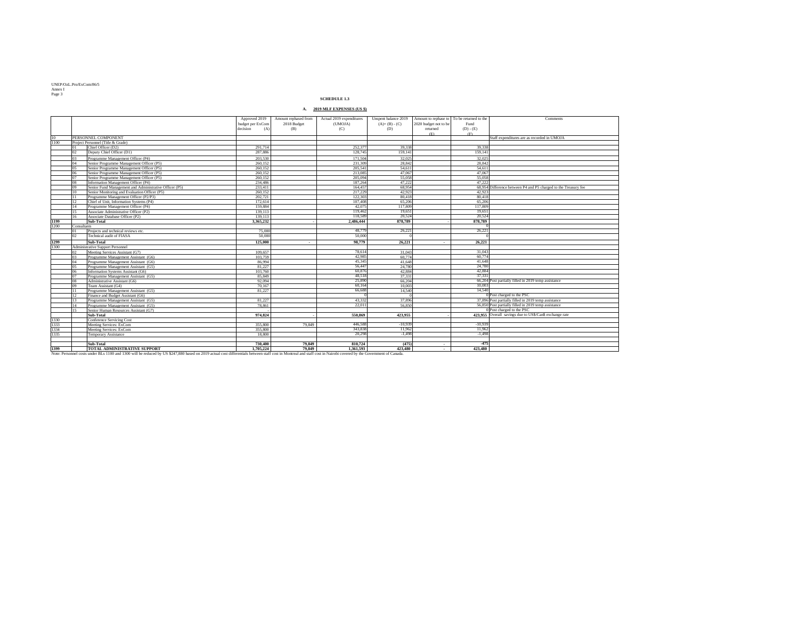UNEP/OzL.Pro/ExCom/86/5 Annex I Page 3

|             |                |                                                         | Approved 2019<br>budget per ExCom<br>decision<br>(A) | Amount rephased from<br>2018 Budget<br>(B) | Actual 2019 expenditures<br>(UMOJA)<br>(C) | Unspent balance 2019<br>$(A)+(B)-(C)$<br>(D) | Amount to rephase to $\vert$ To be returned to the<br>2020 budget not to be<br>returned | Fund<br>$(D) - (E)$ | Comments                                                        |
|-------------|----------------|---------------------------------------------------------|------------------------------------------------------|--------------------------------------------|--------------------------------------------|----------------------------------------------|-----------------------------------------------------------------------------------------|---------------------|-----------------------------------------------------------------|
|             |                | <b>PERSONNEL COMPONENT</b>                              |                                                      |                                            |                                            |                                              | (E)                                                                                     | (F)                 | Staff expenditures are as recorded in UMOJA                     |
| 10          |                |                                                         |                                                      |                                            |                                            |                                              |                                                                                         |                     |                                                                 |
| 1100        | 01             | Project Personnel (Title & Grade)<br>Chief Officer (D2) | 291,714                                              |                                            | 252,377                                    | 39,338                                       |                                                                                         | 39,338              |                                                                 |
|             | 02             |                                                         | 287,886                                              |                                            | 128,745                                    |                                              |                                                                                         | 159,141             |                                                                 |
|             |                | Deputy Chief Officer (D1)                               |                                                      |                                            |                                            | 159,141                                      |                                                                                         |                     |                                                                 |
|             | 03             | Programme Management Officer (P4)                       | 203,530                                              |                                            | 171,504                                    | 32,025                                       |                                                                                         | 32,025              |                                                                 |
|             | 04             | Senior Programme Management Officer (P5)                | 260,152                                              |                                            | 231,309                                    | 28,842                                       |                                                                                         | 28,842              |                                                                 |
|             | 0 <sub>5</sub> | Senior Programme Management Officer (P5)                | 260,152                                              |                                            | 205,541                                    | 54,611                                       |                                                                                         | 54,611              |                                                                 |
|             | 06             | Senior Programme Management Officer (P5)                | 260,152                                              |                                            | 213,085                                    | 47,067                                       |                                                                                         | 47,067              |                                                                 |
|             | 07             | Senior Programme Management Officer (P5)                | 260,152                                              |                                            | 205,094                                    | 55,058                                       |                                                                                         | 55,058              |                                                                 |
|             | 08             | Information Management Officer (P4)                     | 234,486                                              |                                            | 187,264                                    | 47,222                                       |                                                                                         | 47,222              |                                                                 |
|             | 09             | Senior Fund Management and Administrative Officer (P5)  | 233,411                                              |                                            | 164,457                                    | 68,954                                       |                                                                                         |                     | 68,954 Difference between P4 and P5 charged to the Treasury fee |
|             | 10             | Senior Monitoring and Evaluation Officer (P5)           | 260,152                                              |                                            | 217,229                                    | 42,923                                       |                                                                                         | 42,923              |                                                                 |
|             |                | Programme Management Officer (P2/P3)                    | 202,721                                              |                                            | 122,303                                    | 80,418                                       |                                                                                         | 80,418              |                                                                 |
|             | 12             | Chief of Unit, Information Systems (P4)                 | 172,614                                              |                                            | 107,408                                    | 65,206                                       |                                                                                         | 65,206              |                                                                 |
|             |                | Programme Management Officer (P4)                       | 159,884                                              |                                            | 42,075                                     | 117,809                                      |                                                                                         | 117,809             |                                                                 |
|             |                | Associate Administrative Officer (P2)                   | 139,113                                              |                                            | 119,462                                    | 19,651                                       |                                                                                         | 19,651              |                                                                 |
|             | 16             | Associate Database Officer (P2)                         | 139,113                                              |                                            | 118,589                                    | 20,524                                       |                                                                                         | 20,524              |                                                                 |
| <b>1199</b> |                | Sub-Total                                               | 3,365,232                                            |                                            | 2,486,444                                  | 878,789                                      |                                                                                         | 878,789             |                                                                 |
| 1200        | Consultants    |                                                         |                                                      |                                            |                                            |                                              |                                                                                         |                     |                                                                 |
|             |                | Projects and technical reviews etc.                     | 75,000                                               |                                            | 48,779                                     | 26,221                                       |                                                                                         | 26,221              |                                                                 |
|             | 02             | Technical audit of FIASA                                | 50,000                                               |                                            | 50,000                                     |                                              |                                                                                         |                     |                                                                 |
| 1299        |                | <b>Sub-Total</b>                                        | 125,000                                              | $\sim$                                     | 98,779                                     | 26,221                                       | $\sim$                                                                                  | 26,221              |                                                                 |
| 1300        |                | <b>Administrative Support Personnel</b>                 |                                                      |                                            |                                            |                                              |                                                                                         |                     |                                                                 |
|             | 02             | Meeting Services Assistant (G7)                         | 109,657                                              |                                            | 78,614                                     | 31,043                                       |                                                                                         | 31,043              |                                                                 |
|             | 03             | Programme Management Assistant (G6)                     | 103,759                                              |                                            | 42,985                                     | 60,774                                       |                                                                                         | 60,774              |                                                                 |
|             | 04             | Programme Management Assistant (G6)                     | 86,994                                               |                                            | 45,345                                     | 41,648                                       |                                                                                         | 41,648              |                                                                 |
|             |                | Programme Management Assistant (G5)                     | 81,227                                               |                                            | 56,447                                     | 24,780                                       |                                                                                         | 24,780              |                                                                 |
|             |                | Information Systems Assistant (G6)                      | 103,760                                              |                                            | 60,876                                     | 42,884                                       |                                                                                         | 42,884              |                                                                 |
|             | 07             | Programme Management Assistant (G5)                     | 85,849                                               |                                            | 48,518                                     | 37,331                                       |                                                                                         | 37,331              |                                                                 |
|             | 08             | Administrative Assistant (G6)                           | 92,094                                               |                                            | 25,890                                     | 66,204                                       |                                                                                         |                     | 66,204 Post partially filled in 2019 temp assistance            |
|             | 09             | Team Assistant (G4)                                     | 70,167                                               |                                            | 60,164                                     | 10,003                                       |                                                                                         | 10,003              |                                                                 |
|             |                | Programme Management Assistant (G5)                     | 81,227                                               |                                            | 66,688                                     | 14,540                                       |                                                                                         | 14,540              |                                                                 |
|             | 12             | Finance and Budget Assistant (G6)                       |                                                      |                                            |                                            |                                              |                                                                                         |                     | $0$ Post charged to the PSC                                     |
|             |                | Programme Management Assistant (G5)                     | 81,227                                               |                                            | 43,332                                     | 37,896                                       |                                                                                         |                     | 37,896 Post partially filled in 2019 temp assistance            |
|             |                | Programme Management Assistant (G5)                     | 78,861                                               |                                            | 22,011                                     | 56,850                                       |                                                                                         |                     | 56,850 Post partially filled in 2019 temp assistance            |
|             | 15             | Senior Human Resources Assistant (G7)                   |                                                      |                                            |                                            |                                              |                                                                                         |                     | $0$ Post charged to the PSC                                     |
|             |                | <b>Sub-Total</b>                                        | 974,824                                              |                                            | 550,869                                    | 423,955                                      |                                                                                         |                     | 423,955 Overall savings due to US\$/Can\$ exchange rate         |
| 1330        |                | <b>Conference Servicing Cost</b>                        |                                                      |                                            |                                            |                                              |                                                                                         |                     |                                                                 |
| 1333        |                | Meeting Services: ExCom                                 | 355,800                                              | 79,849                                     | 446,588                                    | $-10,939$                                    |                                                                                         | $-10,939$           |                                                                 |
| 1334        |                | Meeting Services: ExCom                                 | 355,800                                              |                                            | 343,838                                    | 11,962                                       |                                                                                         | 11,962              |                                                                 |
| 1335        |                | <b>Temporary Assistance</b>                             | 18,800                                               |                                            | 20,298                                     | $-1,498$                                     |                                                                                         | $-1,498$            |                                                                 |
|             |                |                                                         |                                                      |                                            |                                            |                                              |                                                                                         |                     |                                                                 |
|             |                | <b>Sub-Total</b>                                        | 730,400                                              | 79,849                                     | 810,724                                    | (475)                                        | $\sim$                                                                                  | $-475$              |                                                                 |
| <b>1399</b> |                | <b>TOTAL ADMINISTRATIVE SUPPORT</b>                     | 1,705,224                                            | 79,849                                     | 1,361,593                                  | 423,480                                      | $\sim$ $-$                                                                              | 423,480             |                                                                 |

Note: Personnel costs under BLs 1100 and 1300 will be reduced by US \$247,880 based on 2019 actual cost differentials between staff cost in Montreal and staff cost in Nairobi covered by the Government of Canada.

# **SCHEDULE 1.3**

# **A. 2019 MLF EXPENSES (US \$)**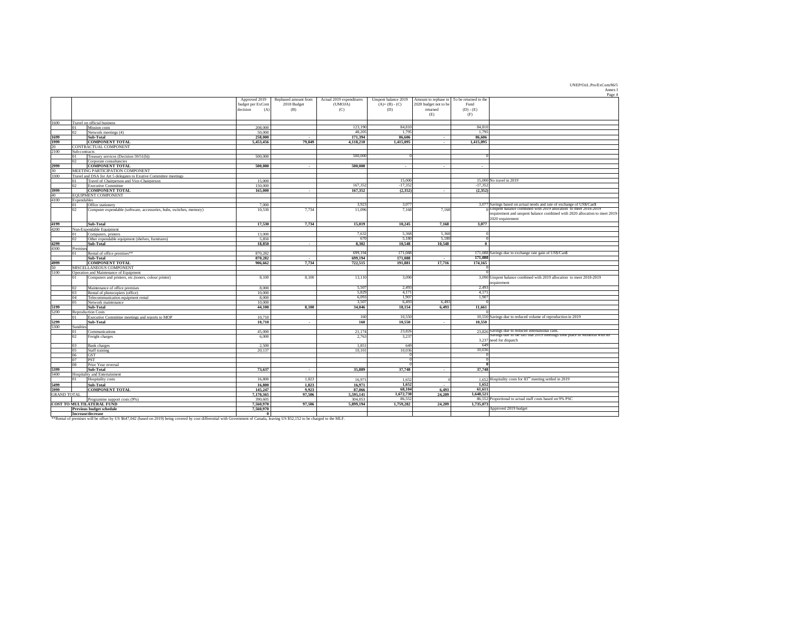UNEP/OzL.Pro/ExCom/86/5 Annex I

|                    |                                                                                      |                  |                      |                          |                      |                       |                                            | Page 4                                                                        |
|--------------------|--------------------------------------------------------------------------------------|------------------|----------------------|--------------------------|----------------------|-----------------------|--------------------------------------------|-------------------------------------------------------------------------------|
|                    |                                                                                      | Approved 2019    | Rephased amount from | Actual 2019 expenditures | Unspent balance 2019 |                       | Amount to rephase to To be returned to the |                                                                               |
|                    |                                                                                      | budget per ExCom | 2018 Budget          | (UMOJA)                  | $(A)+(B)-(C)$        | 2020 budget not to be | Fund                                       |                                                                               |
|                    |                                                                                      | decision<br>(A)  | (B)                  | (C)                      | (D)                  | returned              | $(D) - (E)$                                |                                                                               |
|                    |                                                                                      |                  |                      |                          |                      | (E)                   | (F)                                        |                                                                               |
| 1600               | Travel on official business                                                          |                  |                      |                          |                      |                       |                                            |                                                                               |
|                    | Mission costs<br>01                                                                  | 208,000          |                      | 123,190                  | 84,810               |                       | 84,810                                     |                                                                               |
|                    | 02<br>Network meetings (4)                                                           | 50,000           |                      | 48,205                   | 1,795                |                       | 1,795                                      |                                                                               |
| 1699               | Sub-Total                                                                            | 258,000          | $\sim$               | 171,394                  | 86,606               | $\sim$                | 86,606                                     |                                                                               |
| 1999               | <b>COMPONENT TOTAL</b>                                                               | 5,453,456        | 79,849               | 4,118,210                | 1,415,095            | $\sim$                | 1,415,095                                  |                                                                               |
| 20                 | CONTRACTUAL COMPONENT                                                                |                  |                      |                          |                      |                       |                                            |                                                                               |
| 2100               | Sub-contracts                                                                        |                  |                      |                          |                      |                       |                                            |                                                                               |
|                    | Treasury services (Decision 59/51(b))                                                | 500,000          |                      | 500,000                  |                      |                       |                                            |                                                                               |
|                    | 02<br>Corporate consultancies                                                        |                  |                      |                          |                      |                       |                                            |                                                                               |
| 2999               | <b>COMPONENT TOTAL</b>                                                               | 500,000          | $\sim$               | 500,000                  | $\sim$ 100 $\sim$    | $\sim$                | $\sim$                                     |                                                                               |
| 30                 | MEETING PARTICIPATION COMPONENT                                                      |                  |                      |                          |                      |                       |                                            |                                                                               |
| 3300               | Travel and DSA for Art 5 delegates to Exutive Committee meetings                     | 15,000           |                      |                          | 15,000               |                       | $15,000$ No travel in 2019                 |                                                                               |
|                    | Travel of Chairperson and Vice-Chairperson<br>01<br>02<br><b>Executive Committee</b> | 150,000          |                      | 167,352                  | $-17,352$            |                       | $-17,352$                                  |                                                                               |
| 3999               | <b>COMPONENT TOTAL</b>                                                               | 165,000          | $\sim$               | 167,352                  | (2,352)              |                       | (2,352)                                    |                                                                               |
| 40                 | <b>EQUIPMENT COMPONENT</b>                                                           |                  |                      |                          |                      | $\sim$                |                                            |                                                                               |
| 4100               | Expendables                                                                          |                  |                      |                          |                      |                       |                                            |                                                                               |
|                    | Office stationery                                                                    | 7,000            |                      | 3,923                    | 3,077                |                       |                                            | 3,077 Savings based on actual needs and rate of exchange of US\$/Can\$        |
|                    | 02<br>Computer expendable (software, accessories, hubs, switches, memory)            | 10,530           | 7,734                | 11,096                   | 7,168                | 7,168                 |                                            | $\frac{1}{0}$ Unspent balance combined with 2019 allocation to meet 2018-2019 |
|                    |                                                                                      |                  |                      |                          |                      |                       |                                            | requirement and unspent balance combined with 2020 allocation to meet 2019-   |
|                    |                                                                                      |                  |                      |                          |                      |                       | 2020 requirement                           |                                                                               |
| 4199               | Sub-Total                                                                            | 17,530           | 7,734                | 15,019                   | 10,245               | 7,168                 | 3,077                                      |                                                                               |
| 4200               | Non-Expendable Equipment                                                             |                  |                      |                          |                      |                       |                                            |                                                                               |
|                    | 01<br>Computers, printers                                                            | 13,000           |                      | 7,632                    | 5,368                | 5,368                 |                                            |                                                                               |
|                    | 02<br>Other expendable equipment (shelves, furnitures)                               | 5,850            |                      | 670                      | 5,180                | 5,180                 |                                            |                                                                               |
| 4299               | Sub-Total                                                                            | 18,850           | $\sim$               | 8,302                    | 10,548               | 10,548                |                                            |                                                                               |
| 4300               | Premises                                                                             |                  |                      |                          |                      |                       |                                            |                                                                               |
|                    | Rental of office premises**<br>01                                                    | 870,282          |                      | 699,194                  | 171,088              |                       |                                            | 171,088 Savings due to exchange rate gain of US\$/Can\$                       |
|                    | Sub-Total                                                                            | 870,282          | $\sim$               | 699,194                  | 171,088              | $\sim$                | 171,088                                    |                                                                               |
| 4999               | <b>COMPONENT TOTAL</b>                                                               | 906,662          | 7,734                | 722,515                  | 191,881              | 17,716                | 174,165                                    |                                                                               |
| 50                 | MISCELLANEOUS COMPONENT                                                              |                  |                      |                          |                      |                       |                                            |                                                                               |
| 5100               | Operation and Maintenance of Equipment                                               |                  |                      |                          |                      |                       |                                            |                                                                               |
|                    | Computers and printers, etc.(toners, colour printer)<br>01                           | 8,100            | 8,100                | 13,110                   | 3,090                |                       |                                            | 3,090 Unspent balance combined with 2019 allocation to meet 2018-2019         |
|                    |                                                                                      |                  |                      |                          |                      |                       | requirement                                |                                                                               |
|                    | Maintenance of office premises<br>02                                                 | 8,000            |                      | 5,507                    | 2,493                |                       | 2,493                                      |                                                                               |
|                    | 03<br>Rental of photocopiers (office)                                                | 10,000           |                      | 5,829                    | 4,171                |                       | 4,171                                      |                                                                               |
|                    | Telecommunication equipment rental<br>04                                             | 8,000            |                      | 6,093                    | 1,907                |                       | 1,907                                      |                                                                               |
|                    | 05<br>Network maintenance                                                            | 10,000           |                      | 3,507                    | 6,493                | 6,493                 |                                            |                                                                               |
| 5199<br>5200       | Sub-Total<br><b>Reproduction Costs</b>                                               | 44,100           | 8,100                | 34,046                   | 18,154               | 6,493                 | 11,661                                     |                                                                               |
|                    | Executive Committee meetings and reports to MOP                                      | 10,710           |                      | 160                      | 10,550               |                       |                                            | 10,550 Savings due to reduced volume of reproduction in 2019                  |
| 5299               | Sub-Total                                                                            | 10,710           | $\sim$               | 160                      | 10,550               | $\sim$                | 10,550                                     |                                                                               |
| 5300               | Sundries                                                                             |                  |                      |                          |                      |                       |                                            |                                                                               |
|                    | Communications<br>01                                                                 | 45,000           |                      | 21,174                   | 23,826               |                       |                                            | 23.826 Savings due to reduced international calls.                            |
|                    | Freight charges<br>02                                                                | 6,000            |                      | 2,763                    | 3,237                |                       |                                            | Savings due to the fact that 2019 meetings took place in Montreal with no     |
|                    |                                                                                      |                  |                      |                          |                      |                       | 3,237 need for dispatch                    |                                                                               |
|                    | 03<br><b>Bank</b> charges                                                            | 2,500            |                      | 1,851                    | 649                  |                       | 649                                        |                                                                               |
|                    | 05<br>Staff training                                                                 | 20,137           |                      | 10,101                   | 10,036               |                       | 10,036                                     |                                                                               |
|                    | <b>GST</b><br>06                                                                     |                  |                      |                          |                      |                       |                                            |                                                                               |
|                    | <b>PST</b><br>07                                                                     |                  |                      |                          |                      |                       |                                            |                                                                               |
|                    | 08<br>Prior Year reversal                                                            |                  |                      |                          |                      |                       |                                            |                                                                               |
| 5399               | Sub-Total                                                                            | 73,637           | $\sim$               | 35,889                   | 37,748               | $\sim$                | 37,748                                     |                                                                               |
| 5400               | Hospitality and Entertainment                                                        |                  |                      |                          |                      |                       |                                            |                                                                               |
|                    | Hospitality costs<br>01                                                              | 16,800           | 1,823                | 16,971                   | 1,652                |                       |                                            | 1,652 Hospitality costs for $83^{rd}$ meeting settled in 2019                 |
| 5499               | Sub-Total                                                                            | 16,800           | 1,823                | 16,971                   | 1,652                | $\sim$                | 1,652                                      |                                                                               |
| 5999               | <b>COMPONENT TOTAL</b>                                                               | 145,247          | 9,923                | 87,066                   | 68,104               | 6,493                 | 61,611                                     |                                                                               |
| <b>GRAND TOTAL</b> |                                                                                      | 7,170,365        | 97,506               | 5,595,141                | 1,672,730            | 24,209                | 1,648,521                                  |                                                                               |
|                    | Programme support costs (9%)                                                         | 390,605          |                      | 304,053                  | 86,552               |                       |                                            | 86,552 Proportional to actual staff costs based on 9% PSC                     |
|                    | <b>COST TO MULTILATERAL FUND</b>                                                     | 7,560,970        | 97,506               | 5,899,194                | 1,759,282            | 24,209                | 1,735,073                                  |                                                                               |
|                    | <b>Previous budget schedule</b>                                                      | 7,560,970        |                      |                          |                      |                       |                                            | Approved 2019 budget                                                          |
|                    | Increase/decrease                                                                    |                  |                      |                          |                      |                       |                                            |                                                                               |

\*\*Rental of premises will be offset by US \$647,042 (based on 2019) being covered by cost differential with Government of Canada, leaving US \$52,152 to be charged to the MLF.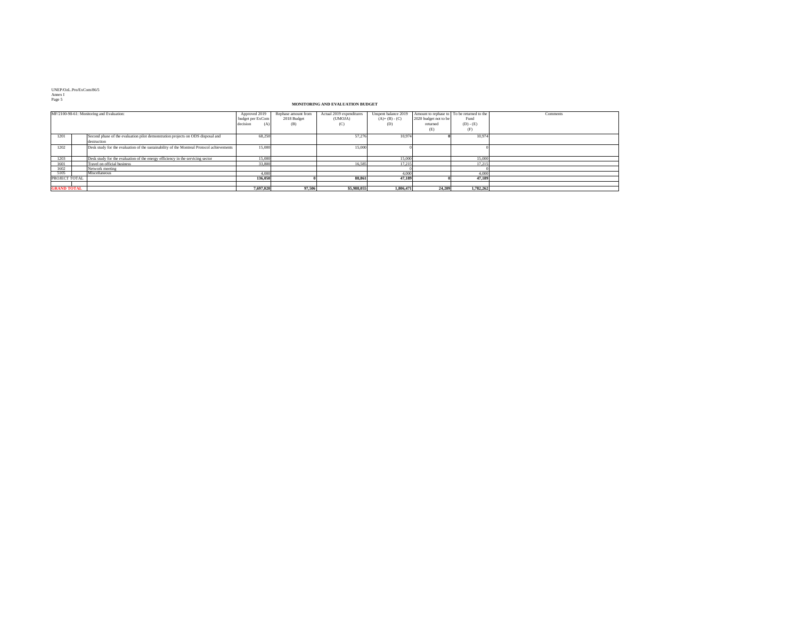UNEP/OzL.Pro/ExCom/86/5 Annex I Page 5

|                      | MF/2100-98-61: Monitoring and Evaluation:                                                      | Approved 2019<br>budget per ExCom<br>decision<br>(A) | Rephase amount from<br>2018 Budget<br>(B) | Actual 2019 expenditures<br>(UMOJA)<br>(C) | Unspent balance 2019<br>$(A)+(B)-(C)$<br>(D) | $\vert$ 2020 budget not to be $\vert$<br>returned<br>(E) | Amount to rephase to To be returned to the<br>Fund<br>$(D) - (E)$<br>(F) | Comments |
|----------------------|------------------------------------------------------------------------------------------------|------------------------------------------------------|-------------------------------------------|--------------------------------------------|----------------------------------------------|----------------------------------------------------------|--------------------------------------------------------------------------|----------|
| 1201                 | Second phase of the evaluation pilot demonstration projects on ODS disposal and<br>destruction | 68,250                                               |                                           | 57,276                                     | 10,974                                       |                                                          | 10,974                                                                   |          |
| 1202                 | Desk study for the evaluation of the sustainability of the Montreal Protocol achievements      | 15,000                                               |                                           | 15,000                                     |                                              |                                                          |                                                                          |          |
| 1203                 | Desk study for the evaluation of the energy efficiency in the servicing sector                 | 15,000                                               |                                           |                                            | 15,000                                       |                                                          | 15,000                                                                   |          |
| 1601                 | Travel on official business                                                                    | 33,800                                               |                                           | 16,585                                     | 17,215                                       |                                                          | 17,215                                                                   |          |
| 1602                 | Network meeting                                                                                |                                                      |                                           |                                            |                                              |                                                          |                                                                          |          |
| 5105                 | Miscellaneous                                                                                  | 4,000                                                |                                           |                                            | 4,000                                        |                                                          | 4,000                                                                    |          |
| <b>PROJECT TOTAL</b> |                                                                                                | 136,050                                              |                                           | 88,861                                     | 47,189                                       |                                                          | 47,189                                                                   |          |
| <b>GRAND TOTAL</b>   |                                                                                                | 7,697,020                                            | 97,506                                    | \$5,988,055                                | 1,806,471                                    | 24,209                                                   | 1,782,262                                                                |          |

# **MONITORING AND EVALUATION BUDGET**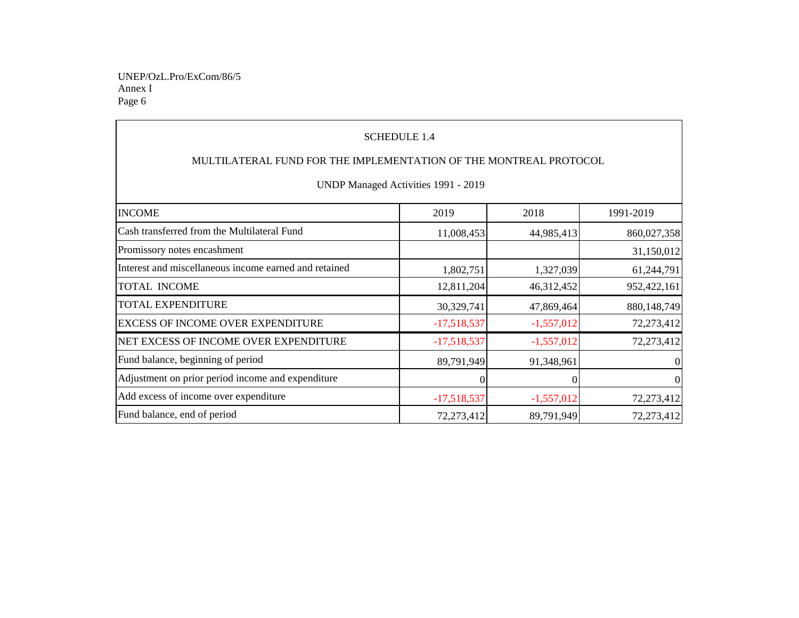Annex I Page 6 UNEP/OzL.Pro/ExCom/86/5

| <b>SCHEDULE 1.4</b><br>MULTILATERAL FUND FOR THE IMPLEMENTATION OF THE MONTREAL PROTOCOL<br>UNDP Managed Activities 1991 - 2019 |               |              |                |  |  |  |  |  |
|---------------------------------------------------------------------------------------------------------------------------------|---------------|--------------|----------------|--|--|--|--|--|
| <b>INCOME</b>                                                                                                                   | 2019          | 2018         | 1991-2019      |  |  |  |  |  |
| Cash transferred from the Multilateral Fund                                                                                     | 11,008,453    | 44,985,413   | 860,027,358    |  |  |  |  |  |
| Promissory notes encashment                                                                                                     |               |              | 31,150,012     |  |  |  |  |  |
| Interest and miscellaneous income earned and retained                                                                           | 1,802,751     | 1,327,039    | 61,244,791     |  |  |  |  |  |
| <b>TOTAL INCOME</b>                                                                                                             | 12,811,204    | 46,312,452   | 952,422,161    |  |  |  |  |  |
| <b>TOTAL EXPENDITURE</b>                                                                                                        | 30,329,741    | 47,869,464   | 880,148,749    |  |  |  |  |  |
| <b>EXCESS OF INCOME OVER EXPENDITURE</b>                                                                                        | $-17,518,537$ | $-1,557,012$ | 72,273,412     |  |  |  |  |  |
| NET EXCESS OF INCOME OVER EXPENDITURE                                                                                           | $-17,518,537$ | $-1,557,012$ | 72,273,412     |  |  |  |  |  |
| Fund balance, beginning of period                                                                                               | 89,791,949    | 91,348,961   | $\overline{0}$ |  |  |  |  |  |
| Adjustment on prior period income and expenditure                                                                               | $\Omega$      | 0            | $\overline{0}$ |  |  |  |  |  |
| Add excess of income over expenditure                                                                                           | $-17,518,537$ | $-1,557,012$ | 72,273,412     |  |  |  |  |  |
| Fund balance, end of period                                                                                                     | 72,273,412    | 89,791,949   | 72,273,412     |  |  |  |  |  |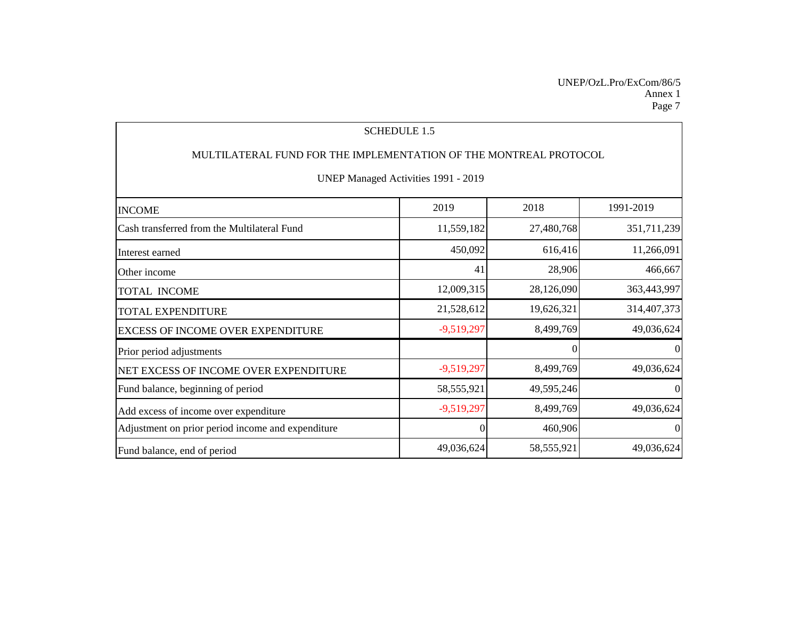### Annex 1 UNEP/OzL.Pro/ExCom/86/5 Page 7

| <b>SCHEDULE 1.5</b>                                               |                |            |                |  |  |  |  |  |
|-------------------------------------------------------------------|----------------|------------|----------------|--|--|--|--|--|
| MULTILATERAL FUND FOR THE IMPLEMENTATION OF THE MONTREAL PROTOCOL |                |            |                |  |  |  |  |  |
| UNEP Managed Activities 1991 - 2019                               |                |            |                |  |  |  |  |  |
| <b>INCOME</b>                                                     | 2019           | 2018       | 1991-2019      |  |  |  |  |  |
| Cash transferred from the Multilateral Fund                       | 11,559,182     | 27,480,768 | 351,711,239    |  |  |  |  |  |
| Interest earned                                                   | 450,092        | 616,416    | 11,266,091     |  |  |  |  |  |
| Other income                                                      | 41             | 28,906     | 466,667        |  |  |  |  |  |
| <b>TOTAL INCOME</b>                                               | 12,009,315     | 28,126,090 | 363,443,997    |  |  |  |  |  |
| <b>TOTAL EXPENDITURE</b>                                          | 21,528,612     | 19,626,321 | 314,407,373    |  |  |  |  |  |
| <b>EXCESS OF INCOME OVER EXPENDITURE</b>                          | $-9,519,297$   | 8,499,769  | 49,036,624     |  |  |  |  |  |
| Prior period adjustments                                          |                | 0          | $\overline{0}$ |  |  |  |  |  |
| NET EXCESS OF INCOME OVER EXPENDITURE                             | $-9,519,297$   | 8,499,769  | 49,036,624     |  |  |  |  |  |
| Fund balance, beginning of period                                 | 58, 555, 921   | 49,595,246 | $\overline{0}$ |  |  |  |  |  |
| Add excess of income over expenditure                             | $-9,519,297$   | 8,499,769  | 49,036,624     |  |  |  |  |  |
| Adjustment on prior period income and expenditure                 | $\overline{0}$ | 460,906    | $\overline{0}$ |  |  |  |  |  |
| Fund balance, end of period                                       | 49,036,624     | 58,555,921 | 49,036,624     |  |  |  |  |  |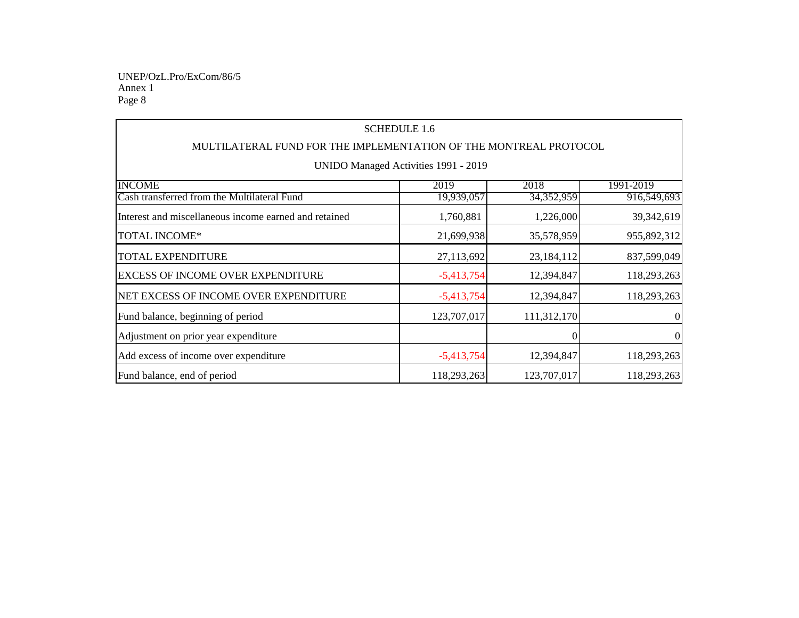Annex 1 Page 8 UNEP/OzL.Pro/ExCom/86/5

| <b>SCHEDULE 1.6</b>                                               |              |              |                |  |  |  |  |  |
|-------------------------------------------------------------------|--------------|--------------|----------------|--|--|--|--|--|
| MULTILATERAL FUND FOR THE IMPLEMENTATION OF THE MONTREAL PROTOCOL |              |              |                |  |  |  |  |  |
| UNIDO Managed Activities 1991 - 2019                              |              |              |                |  |  |  |  |  |
| <b>INCOME</b>                                                     | 2019         | 2018         | 1991-2019      |  |  |  |  |  |
| Cash transferred from the Multilateral Fund                       | 19,939,057   | 34, 352, 959 | 916,549,693    |  |  |  |  |  |
| Interest and miscellaneous income earned and retained             | 1,760,881    | 1,226,000    | 39,342,619     |  |  |  |  |  |
| <b>TOTAL INCOME*</b>                                              | 21,699,938   | 35,578,959   | 955,892,312    |  |  |  |  |  |
| <b>TOTAL EXPENDITURE</b>                                          | 27,113,692   | 23,184,112   | 837,599,049    |  |  |  |  |  |
| <b>EXCESS OF INCOME OVER EXPENDITURE</b>                          | $-5,413,754$ | 12,394,847   | 118,293,263    |  |  |  |  |  |
| NET EXCESS OF INCOME OVER EXPENDITURE                             | $-5,413,754$ | 12,394,847   | 118,293,263    |  |  |  |  |  |
| Fund balance, beginning of period                                 | 123,707,017  | 111,312,170  | $\overline{0}$ |  |  |  |  |  |
| Adjustment on prior year expenditure                              |              |              | $\overline{0}$ |  |  |  |  |  |
| Add excess of income over expenditure                             | $-5,413,754$ | 12,394,847   | 118,293,263    |  |  |  |  |  |
| Fund balance, end of period                                       | 118,293,263  | 123,707,017  | 118,293,263    |  |  |  |  |  |